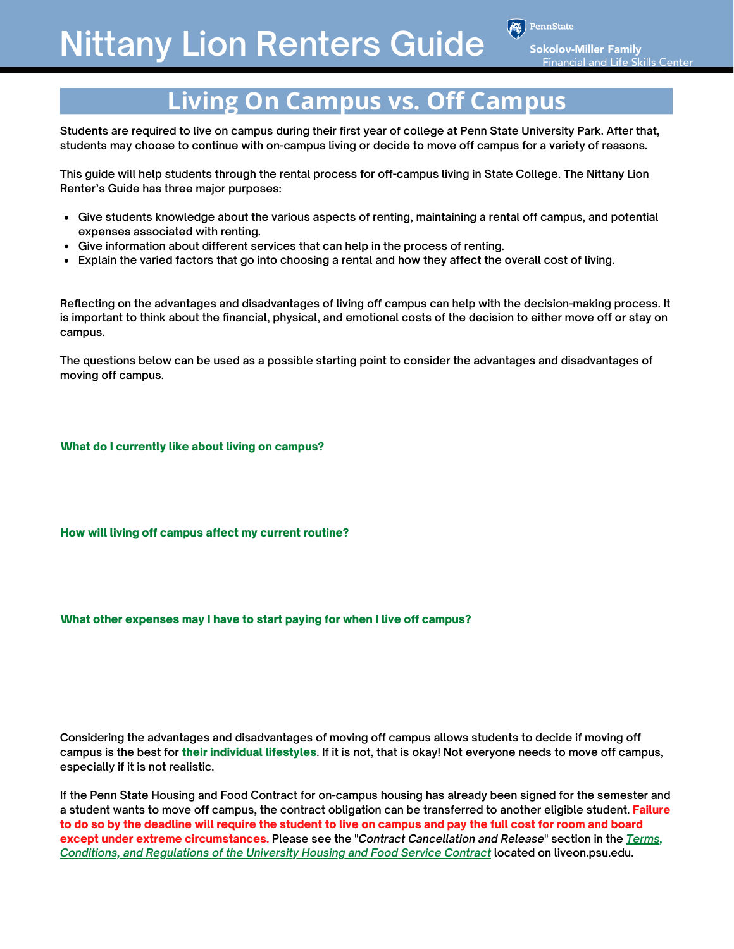PennState

**Sokolov-Miller Family Financial and Life Skills Center** 

# **Living On Campus vs. Off Campus**

**Students are required to live on campus during their first year of college at Penn State University Park. After that, students may choose to continue with on-campus living or decide to move off campus for a variety of reasons.**

**This guide will help students through the rental process for off-campus living in State College. The Nittany Lion Renter's Guide has three major purposes:**

- **Give students knowledge about the various aspects of renting, maintaining a rental off campus, and potential expenses associated with renting.**
- **Give information about different services that can help in the process of renting.**
- **Explain the varied factors that go into choosing a rental and how they affect the overall cost of living.**

**Reflecting on the advantages and disadvantages of living off campus can help with the decision-making process. It is important to think about the financial, physical, and emotional costs of the decision to either move off or stay on campus.**

**The questions below can be used as a possible starting point to consider the advantages and disadvantages of moving off campus.** 

What do I currently like about living on campus?

How will living off campus affect my current routine?

What other expenses may I have to start paying for when I live off campus?

**Considering the advantages and disadvantages of moving off campus allows students to decide if moving off campus is the best for** their individual lifestyles**. If it is not, that is okay! Not everyone needs to move off campus, especially if it is not realistic.** 

**If the Penn State Housing and Food Contract for on-campus housing has already been signed for the semester and a student wants to move off campus, the contract obligation can be transferred to another eligible student.** Failure to do so by the deadline will require the student to live on campus and pay the full cost for room and board except under extreme circumstances. **Please see the "***Contract Cancellation and Release***" section in the** *Terms, [Conditions, and Regulations of the University Housing and Food Service Contract](https://liveon.psu.edu/university-park/terms-conditions)* **located on liveon.psu.edu.**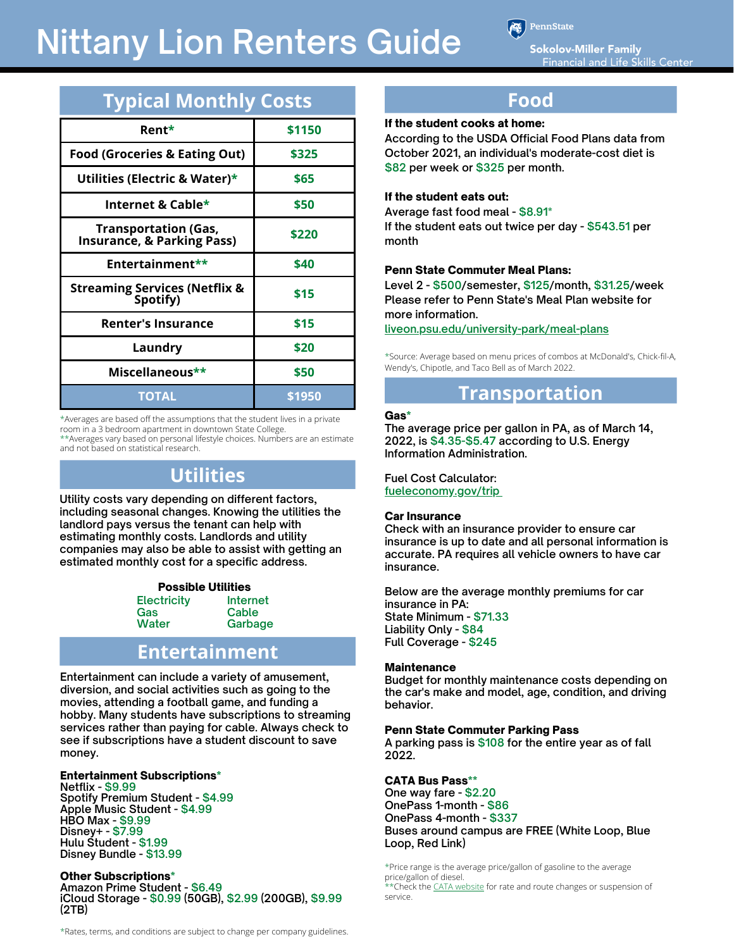PennState

**Sokolov-Miller Family Financial and Life Skills Center** 

| <b>Typical Monthly Costs</b>                               |        |  |  |
|------------------------------------------------------------|--------|--|--|
| Rent*                                                      | \$1150 |  |  |
| <b>Food (Groceries &amp; Eating Out)</b>                   | \$325  |  |  |
| Utilities (Electric & Water)*                              | \$65   |  |  |
| Internet & Cable*                                          | \$50   |  |  |
| <b>Transportation (Gas, Insurance, &amp; Parking Pass)</b> | \$220  |  |  |
| Entertainment**                                            | \$40   |  |  |
| <b>Streaming Services (Netflix &amp;</b><br>Spotify)       | \$15   |  |  |
| <b>Renter's Insurance</b>                                  | \$15   |  |  |
| Laundry                                                    | \$20   |  |  |
| Miscellaneous**                                            | \$50   |  |  |
| <b>TOTAL</b>                                               | \$1950 |  |  |

\*Averages are based off the assumptions that the student lives in a private room in a 3 bedroom apartment in downtown State College.

\*\*Averages vary based on personal lifestyle choices. Numbers are an estimate and not based on statistical research.

## **Utilities**

**Utility costs vary depending on different factors, including seasonal changes. Knowing the utilities the landlord pays versus the tenant can help with estimating monthly costs. Landlords and utility companies may also be able to assist with getting an estimated monthly cost for a specific address.**

#### Possible Utilities **Internet Electricity**

**Cable Garbage** 

### **Entertainment**

**Entertainment can include a variety of amusement, diversion, and social activities such as going to the movies, attending a football game, and funding a hobby. Many students have subscriptions to streaming services rather than paying for cable. Always check to see if subscriptions have a student discount to save money.**

#### Entertainment Subscriptions\*

**Gas Water**

**Netflix - \$9.99 Spotify Premium Student - \$4.99 Apple Music Student - \$4.99 HBO Max - \$9.99 Disney+ - \$7.99 Hulu Student - \$1.99 Disney Bundle - \$13.99**

#### Other Subscriptions\*

**Amazon Prime Student - \$6.49 iCloud Storage - \$0.99 (50GB), \$2.99 (200GB), \$9.99 (2TB)**

#### **Food**

#### If the student cooks at home:

**According to the USDA Official Food Plans data from October 2021, an individual's moderate-cost diet is \$82 per week or \$325 per month.**

#### If the student eats out:

**Average fast food meal - \$8.91\* If the student eats out twice per day - \$543.51 per month**

#### Penn State Commuter Meal Plans:

**Level 2 - \$500/semester, \$125/month, \$31.25/week Please refer to Penn State's Meal Plan website for more information.**

**[liveon.psu.edu/university-park/meal-plans](https://liveon.psu.edu/university-park/meal-plans)**

\*Source: Average based on menu prices of combos at McDonald's, Chick-fil-A, Wendy's, Chipotle, and Taco Bell as of March 2022.

#### **Transportation**

#### Gas\*

**The average price per gallon in PA, as of March 14, 2022, is \$4.35-\$5.47 according to U.S. Energy Information Administration.**

**Fuel Cost Calculator: [fueleconomy.gov/trip](https://fueleconomy.gov/trip/)**

#### Car Insurance

**Check with an insurance provider to ensure car insurance is up to date and all personal information is accurate. PA requires all vehicle owners to have car insurance.**

**Below are the average monthly premiums for car insurance in PA: State Minimum - \$71.33 Liability Only - \$84 Full Coverage - \$245**

#### **Maintenance**

**Budget for monthly maintenance costs depending on the car's make and model, age, condition, and driving behavior.**

#### Penn State Commuter Parking Pass

**A parking pass is \$108 for the entire year as of fall 2022.**

#### CATA Bus Pass\*\*

**One way fare - \$2.20 OnePass 1-month - \$86 OnePass 4-month - \$337 Buses around campus are FREE (White Loop, Blue Loop, Red Link)**

\*Price range is the average price/gallon of gasoline to the average price/gallon of diesel. \*\*Check the [CATA website](https://catabus.com/) for rate and route changes or suspension of service.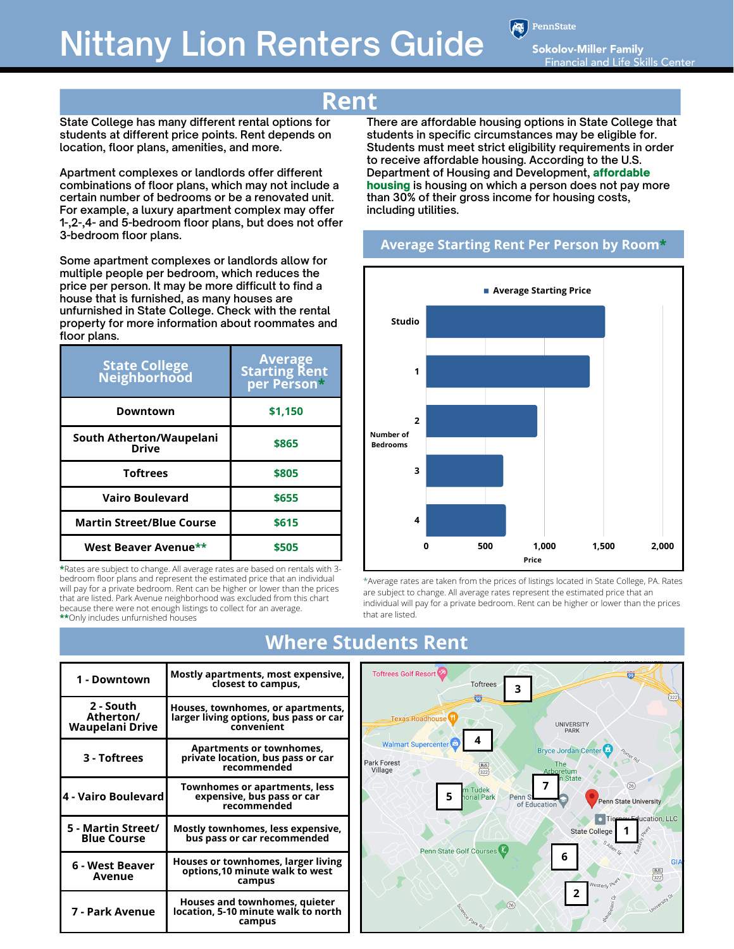PennState

Sokolov-Miller Family **Financial and Life Skills Center** 

**State College has many different rental options for students at different price points. Rent depends on location, floor plans, amenities, and more.** 

**Apartment complexes or landlords offer different combinations of floor plans, which may not include a certain number of bedrooms or be a renovated unit. For example, a luxury apartment complex may offer 1-,2-,4- and 5-bedroom floor plans, but does not offer 3-bedroom floor plans.** 

**Some apartment complexes or landlords allow for multiple people per bedroom, which reduces the price per person. It may be more difficult to find a house that is furnished, as many houses are unfurnished in State College. Check with the rental property for more information about roommates and floor plans.** 

| <b>State College<br/>Neighborhood</b>    | <b>Average</b><br><b>Starting Rent</b><br>  per Person* |
|------------------------------------------|---------------------------------------------------------|
| Downtown                                 | \$1,150                                                 |
| South Atherton/Waupelani<br><b>Drive</b> | \$865                                                   |
| <b>Toftrees</b>                          | \$805                                                   |
| <b>Vairo Boulevard</b>                   | \$655                                                   |
| <b>Martin Street/Blue Course</b>         | \$615                                                   |
| West Beaver Avenue**                     | \$505                                                   |

**\***Rates are subject to change. All average rates are based on rentals with 3 bedroom floor plans and represent the estimated price that an individual will pay for a private bedroom. Rent can be higher or lower than the prices that are listed. Park Avenue neighborhood was excluded from this chart because there were not enough listings to collect for an average. **\*\***Only includes unfurnished houses

## **Rent**

**There are affordable housing options in State College that students in specific circumstances may be eligible for. Students must meet strict eligibility requirements in order to receive affordable housing. According to the U.S. Department of Housing and Development,** affordable housing **is housing on which a person does not pay more than 30% of their gross income for housing costs, including utilities.**

#### **Average Starting Rent Per Person by Room\***



\*Average rates are taken from the prices of listings located in State College, PA. Rates are subject to change. All average rates represent the estimated price that an individual will pay for a private bedroom. Rent can be higher or lower than the prices that are listed.

| 1 - Downtown                                     | Mostly apartments, most expensive,<br>closest to campus,                                  |
|--------------------------------------------------|-------------------------------------------------------------------------------------------|
| 2 - South<br>Atherton/<br><b>Waupelani Drive</b> | Houses, townhomes, or apartments,<br>larger living options, bus pass or car<br>convenient |
| 3 - Toftrees                                     | <b>Apartments or townhomes,</b><br>private location, bus pass or car<br>recommended       |
| 4 - Vairo Boulevard                              | <b>Townhomes or apartments, less</b><br>expensive, bus pass or car<br>recommended         |
| 5 - Martin Street/<br><b>Blue Course</b>         | Mostly townhomes, less expensive,<br>bus pass or car recommended                          |
| 6 - West Beaver<br>Avenue                        | Houses or townhomes, larger living<br>options, 10 minute walk to west<br>campus           |
| 7 - Park Avenue                                  | Houses and townhomes, quieter<br>location, 5-10 minute walk to north<br>campus            |

## **Where Students Rent**

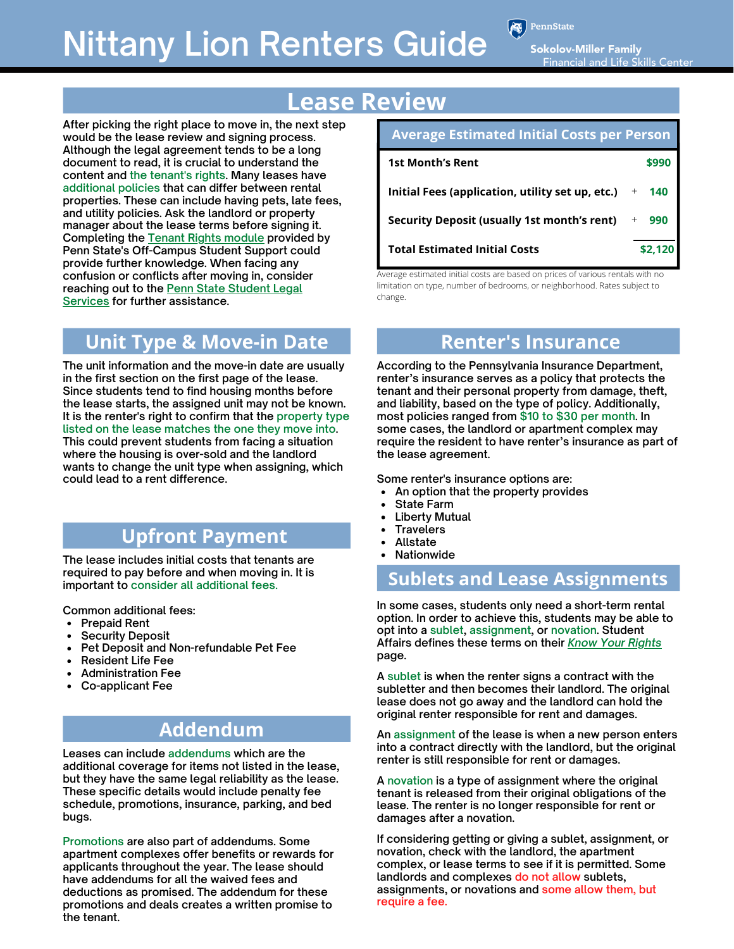PennState

**Sokolov-Miller Family Financial and Life Skills Center** 

# **Lease Review**

**After picking the right place to move in, the next step would be the lease review and signing process. Although the legal agreement tends to be a long document to read, it is crucial to understand the content and the tenant's rights. Many leases have additional policies that can differ between rental properties. These can include having pets, late fees, and utility policies. Ask the landlord or property manager about the lease terms before signing it. Completing the [Tenant Rights module](https://studentaffairs.psu.edu/involvement-student-life/living-campus/living-campus/know-your-rights) provided by Penn State's Off-Campus Student Support could provide further knowledge. When facing any confusion or conflicts after moving in, consider [reaching out to the Penn State Student Legal](https://studentaffairs.psu.edu/legalservices) Services for further assistance.**

## **Unit Type & Move-in Date**

**The unit information and the move-in date are usually in the first section on the first page of the lease. Since students tend to find housing months before the lease starts, the assigned unit may not be known. It is the renter's right to confirm that the property type listed on the lease matches the one they move into. This could prevent students from facing a situation where the housing is over-sold and the landlord wants to change the unit type when assigning, which could lead to a rent difference.** 

## **Upfront Payment**

**The lease includes initial costs that tenants are required to pay before and when moving in. It is important to consider all additional fees.**

**Common additional fees:**

- **Prepaid Rent**
- **Security Deposit**
- **Pet Deposit and Non-refundable Pet Fee**
- **Resident Life Fee**
- **Administration Fee**
- **Co-applicant Fee**

## **Addendum**

**Leases can include addendums which are the additional coverage for items not listed in the lease, but they have the same legal reliability as the lease. These specific details would include penalty fee schedule, promotions, insurance, parking, and bed bugs.**

**Promotions are also part of addendums. Some apartment complexes offer benefits or rewards for applicants throughout the year. The lease should have addendums for all the waived fees and deductions as promised. The addendum for these promotions and deals creates a written promise to the tenant.**

| <b>Average Estimated Initial Costs per Person</b>  |            |  |  |
|----------------------------------------------------|------------|--|--|
| <b>1st Month's Rent</b>                            | \$990      |  |  |
| Initial Fees (application, utility set up, etc.)   | $+ 140$    |  |  |
| <b>Security Deposit (usually 1st month's rent)</b> | $+$<br>990 |  |  |
| <b>Total Estimated Initial Costs</b>               | \$2.120    |  |  |

Average estimated initial costs are based on prices of various rentals with no limitation on type, number of bedrooms, or neighborhood. Rates subject to change.

## **Renter's Insurance**

**According to the Pennsylvania Insurance Department, renter's insurance serves as a policy that protects the tenant and their personal property from damage, theft, and liability, based on the type of policy. Additionally, most policies ranged from \$10 to \$30 per month. In some cases, the landlord or apartment complex may require the resident to have renter's insurance as part of the lease agreement.**

**Some renter's insurance options are:**

- **An option that the property provides**  $\bullet$
- **State Farm**
- **Liberty Mutual**  $\bullet$
- **Travelers**  $\bullet$
- **Allstate**  $\bullet$
- **Nationwide**

#### **Sublets and Lease Assignments**

**In some cases, students only need a short-term rental option. In order to achieve this, students may be able to opt into a sublet, assignment, or novation. Student Affairs defines these terms on their** *[Know Your Rights](https://studentaffairs.psu.edu/involvement-student-life/living-campus/living-campus/know-your-rights)* **page.**

**A sublet is when the renter signs a contract with the subletter and then becomes their landlord. The original lease does not go away and the landlord can hold the original renter responsible for rent and damages.**

**An assignment of the lease is when a new person enters into a contract directly with the landlord, but the original renter is still responsible for rent or damages.**

**A novation is a type of assignment where the original tenant is released from their original obligations of the lease. The renter is no longer responsible for rent or damages after a novation.**

**If considering getting or giving a sublet, assignment, or novation, check with the landlord, the apartment complex, or lease terms to see if it is permitted. Some landlords and complexes do not allow sublets, assignments, or novations and some allow them, but require a fee.**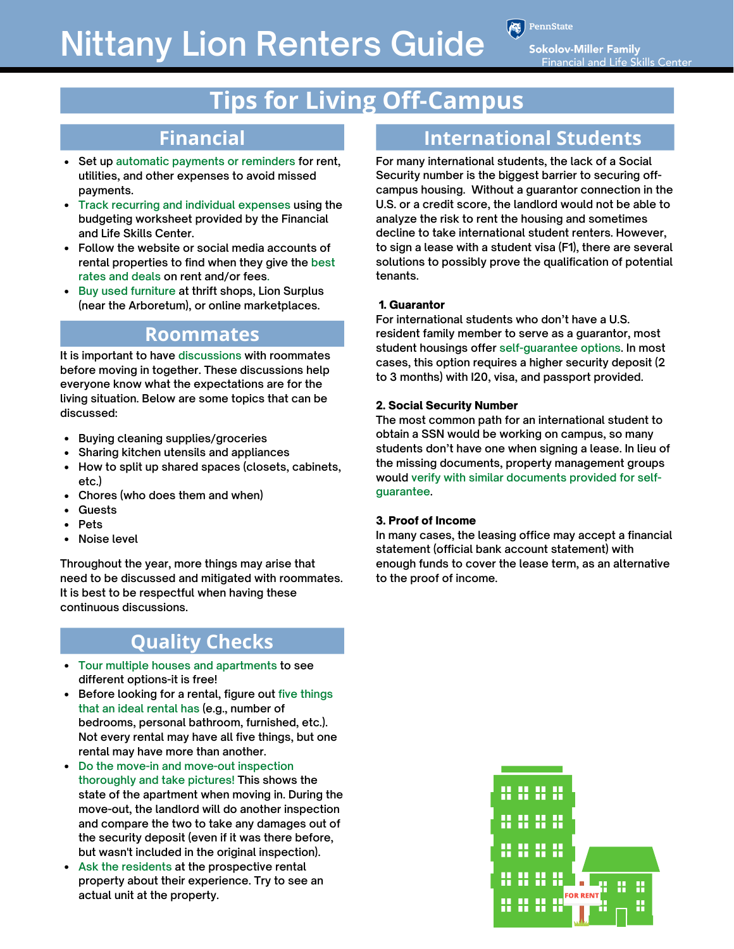**PennState** 

**Sokolov-Miller Family Financial and Life Skills Center** 

# **Tips for Living Off-Campus**

## **Financial**

- **Set up automatic payments or reminders for rent, utilities, and other expenses to avoid missed payments.**
- **Track recurring and individual expenses using the budgeting worksheet provided by the Financial and Life Skills Center.**
- **Follow the website or social media accounts of rental properties to find when they give the best rates and deals on rent and/or fees.**
- **Buy used furniture at thrift shops, Lion Surplus (near the Arboretum), or online marketplaces.**

### **Roommates**

**It is important to have discussions with roommates before moving in together. These discussions help everyone know what the expectations are for the living situation. Below are some topics that can be discussed:**

- **Buying cleaning supplies/groceries**  $\bullet$
- **Sharing kitchen utensils and appliances**
- **How to split up shared spaces (closets, cabinets, etc.)**
- **Chores (who does them and when)**
- **Guests**
- **Pets**
- **Noise level**

**Throughout the year, more things may arise that need to be discussed and mitigated with roommates. It is best to be respectful when having these continuous discussions.**

## **Quality Checks**

- **Tour multiple houses and apartments to see different options-it is free!**
- **Before looking for a rental, figure out five things that an ideal rental has (e.g., number of bedrooms, personal bathroom, furnished, etc.). Not every rental may have all five things, but one rental may have more than another.**
- **Do the move-in and move-out inspection thoroughly and take pictures! This shows the state of the apartment when moving in. During the move-out, the landlord will do another inspection and compare the two to take any damages out of the security deposit (even if it was there before, but wasn't included in the original inspection).**
- **Ask the residents at the prospective rental property about their experience. Try to see an actual unit at the property.**

## **International Students**

**For many international students, the lack of a Social Security number is the biggest barrier to securing offcampus housing. Without a guarantor connection in the U.S. or a credit score, the landlord would not be able to analyze the risk to rent the housing and sometimes decline to take international student renters. However, to sign a lease with a student visa (F1), there are several solutions to possibly prove the qualification of potential tenants.**

#### 1. Guarantor

**For international students who don't have a U.S. resident family member to serve as a guarantor, most student housings offer self-guarantee options. In most cases, this option requires a higher security deposit (2 to 3 months) with I20, visa, and passport provided.**

#### 2. Social Security Number

**The most common path for an international student to obtain a SSN would be working on campus, so many students don't have one when signing a lease. In lieu of the missing documents, property management groups would verify with similar documents provided for selfguarantee.**

#### 3. Proof of Income

**In many cases, the leasing office may accept a financial statement (official bank account statement) with enough funds to cover the lease term, as an alternative to the proof of income.**

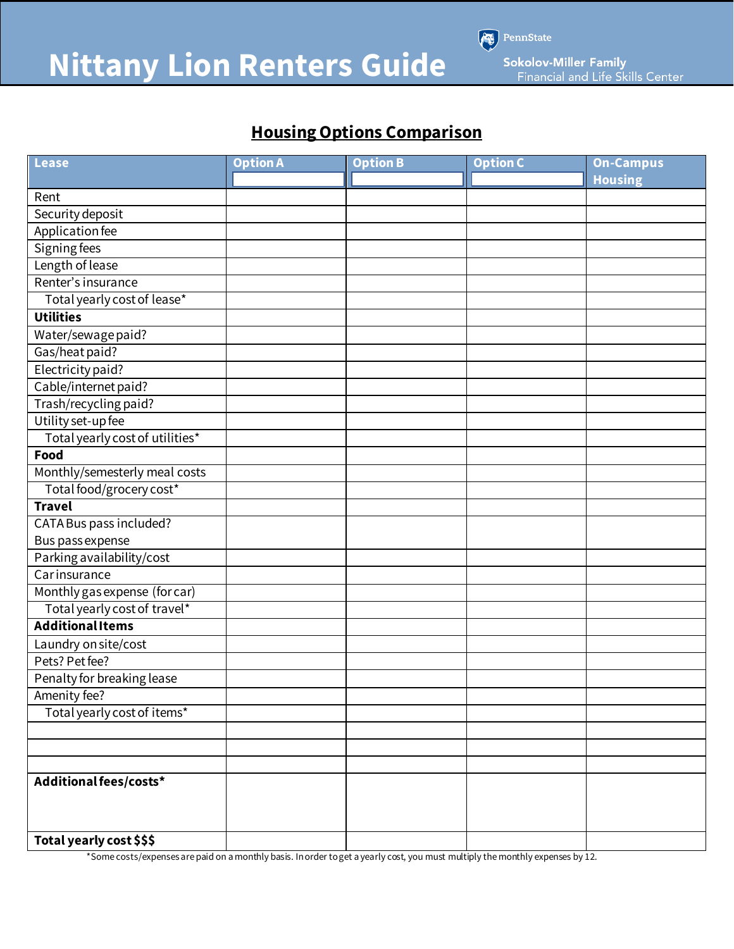

Sokolov-Miller Family<br>Financial and Life Skills Center

A.

PennState

## **Housing Options Comparison**

| <b>Lease</b>                    | <b>Option A</b> | <b>Option B</b> | <b>Option C</b> | <b>On-Campus</b> |
|---------------------------------|-----------------|-----------------|-----------------|------------------|
|                                 |                 |                 |                 | <b>Housing</b>   |
| Rent                            |                 |                 |                 |                  |
| Security deposit                |                 |                 |                 |                  |
| Application fee                 |                 |                 |                 |                  |
| Signing fees                    |                 |                 |                 |                  |
| Length of lease                 |                 |                 |                 |                  |
| Renter's insurance              |                 |                 |                 |                  |
| Total yearly cost of lease*     |                 |                 |                 |                  |
| <b>Utilities</b>                |                 |                 |                 |                  |
| Water/sewage paid?              |                 |                 |                 |                  |
| Gas/heat paid?                  |                 |                 |                 |                  |
| Electricity paid?               |                 |                 |                 |                  |
| Cable/internet paid?            |                 |                 |                 |                  |
| Trash/recycling paid?           |                 |                 |                 |                  |
| Utility set-up fee              |                 |                 |                 |                  |
| Total yearly cost of utilities* |                 |                 |                 |                  |
| Food                            |                 |                 |                 |                  |
| Monthly/semesterly meal costs   |                 |                 |                 |                  |
| Total food/grocery cost*        |                 |                 |                 |                  |
| <b>Travel</b>                   |                 |                 |                 |                  |
| CATA Bus pass included?         |                 |                 |                 |                  |
| Bus pass expense                |                 |                 |                 |                  |
| Parking availability/cost       |                 |                 |                 |                  |
| Carinsurance                    |                 |                 |                 |                  |
| Monthly gas expense (for car)   |                 |                 |                 |                  |
| Total yearly cost of travel*    |                 |                 |                 |                  |
| <b>AdditionalItems</b>          |                 |                 |                 |                  |
| Laundry on site/cost            |                 |                 |                 |                  |
| Pets? Pet fee?                  |                 |                 |                 |                  |
| Penalty for breaking lease      |                 |                 |                 |                  |
| Amenity fee?                    |                 |                 |                 |                  |
| Total yearly cost of items*     |                 |                 |                 |                  |
|                                 |                 |                 |                 |                  |
|                                 |                 |                 |                 |                  |
|                                 |                 |                 |                 |                  |
| Additional fees/costs*          |                 |                 |                 |                  |
|                                 |                 |                 |                 |                  |
|                                 |                 |                 |                 |                  |
| Total yearly cost \$\$\$        |                 |                 |                 |                  |

\*Some costs/expenses are paid on a monthly basis. In order to get a yearly cost, you must multiply the monthly expenses by 12.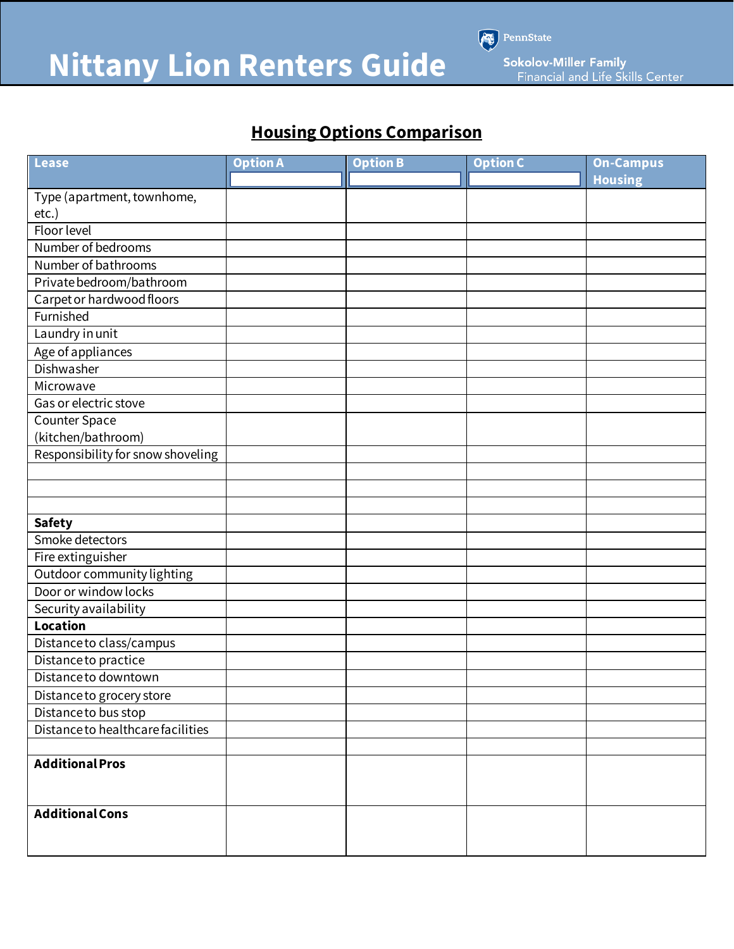

PennState

Sokolov-Miller Family<br>Financial and Life Skills Center

## **Housing Options Comparison**

| <b>Lease</b>                      | <b>Option A</b> | <b>Option B</b> | <b>Option C</b> | <b>On-Campus</b> |
|-----------------------------------|-----------------|-----------------|-----------------|------------------|
|                                   |                 |                 |                 | <b>Housing</b>   |
| Type (apartment, townhome,        |                 |                 |                 |                  |
| $etc.$ )                          |                 |                 |                 |                  |
| <b>Floor level</b>                |                 |                 |                 |                  |
| Number of bedrooms                |                 |                 |                 |                  |
| Number of bathrooms               |                 |                 |                 |                  |
| Private bedroom/bathroom          |                 |                 |                 |                  |
| Carpet or hardwood floors         |                 |                 |                 |                  |
| Furnished                         |                 |                 |                 |                  |
| Laundry in unit                   |                 |                 |                 |                  |
| Age of appliances                 |                 |                 |                 |                  |
| Dishwasher                        |                 |                 |                 |                  |
| Microwave                         |                 |                 |                 |                  |
| Gas or electric stove             |                 |                 |                 |                  |
| <b>Counter Space</b>              |                 |                 |                 |                  |
| (kitchen/bathroom)                |                 |                 |                 |                  |
| Responsibility for snow shoveling |                 |                 |                 |                  |
|                                   |                 |                 |                 |                  |
|                                   |                 |                 |                 |                  |
|                                   |                 |                 |                 |                  |
| <b>Safety</b>                     |                 |                 |                 |                  |
| Smoke detectors                   |                 |                 |                 |                  |
| Fire extinguisher                 |                 |                 |                 |                  |
| Outdoor community lighting        |                 |                 |                 |                  |
| Door or window locks              |                 |                 |                 |                  |
| Security availability             |                 |                 |                 |                  |
| <b>Location</b>                   |                 |                 |                 |                  |
| Distance to class/campus          |                 |                 |                 |                  |
| Distance to practice              |                 |                 |                 |                  |
| Distance to downtown              |                 |                 |                 |                  |
| Distance to grocery store         |                 |                 |                 |                  |
| Distance to bus stop              |                 |                 |                 |                  |
| Distance to healthcare facilities |                 |                 |                 |                  |
|                                   |                 |                 |                 |                  |
| <b>Additional Pros</b>            |                 |                 |                 |                  |
|                                   |                 |                 |                 |                  |
|                                   |                 |                 |                 |                  |
| <b>Additional Cons</b>            |                 |                 |                 |                  |
|                                   |                 |                 |                 |                  |
|                                   |                 |                 |                 |                  |